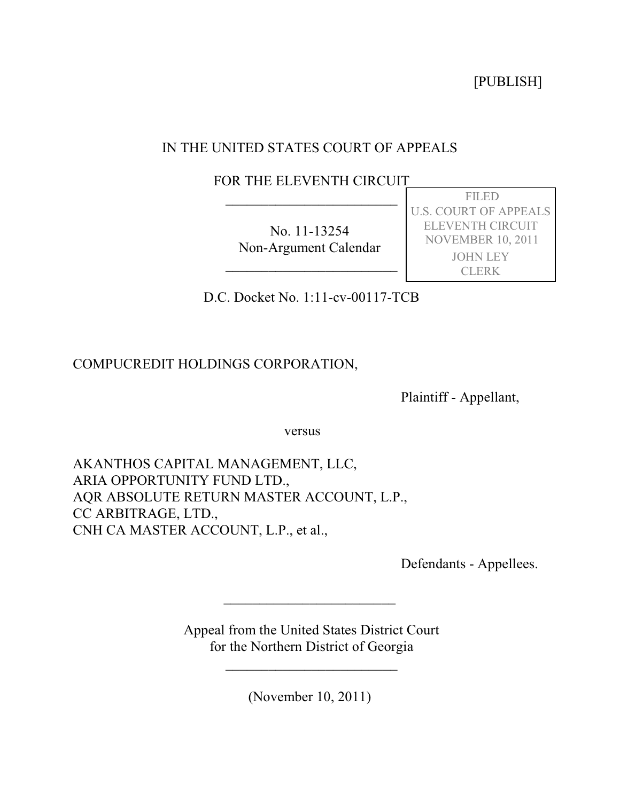[PUBLISH]

# IN THE UNITED STATES COURT OF APPEALS

 FOR THE ELEVENTH CIRCUIT  $\overline{\phantom{a}}$  , where  $\overline{\phantom{a}}$  , where  $\overline{\phantom{a}}$  , where  $\overline{\phantom{a}}$ 

> No. 11-13254 Non-Argument Calendar

 $\overline{\phantom{a}}$  , where  $\overline{\phantom{a}}$  , where  $\overline{\phantom{a}}$  , where  $\overline{\phantom{a}}$ 

 FILED U.S. COURT OF APPEALS ELEVENTH CIRCUIT NOVEMBER 10, 2011 JOHN LEY CLERK

D.C. Docket No. 1:11-cv-00117-TCB

COMPUCREDIT HOLDINGS CORPORATION,

Plaintiff - Appellant,

versus

AKANTHOS CAPITAL MANAGEMENT, LLC, ARIA OPPORTUNITY FUND LTD., AQR ABSOLUTE RETURN MASTER ACCOUNT, L.P., CC ARBITRAGE, LTD., CNH CA MASTER ACCOUNT, L.P., et al.,

Defendants - Appellees.

 Appeal from the United States District Court for the Northern District of Georgia

 $\overline{\phantom{a}}$ 

(November 10, 2011)

 $\overline{\phantom{a}}$  , where the contract of the contract of the contract of the contract of the contract of the contract of the contract of the contract of the contract of the contract of the contract of the contract of the contr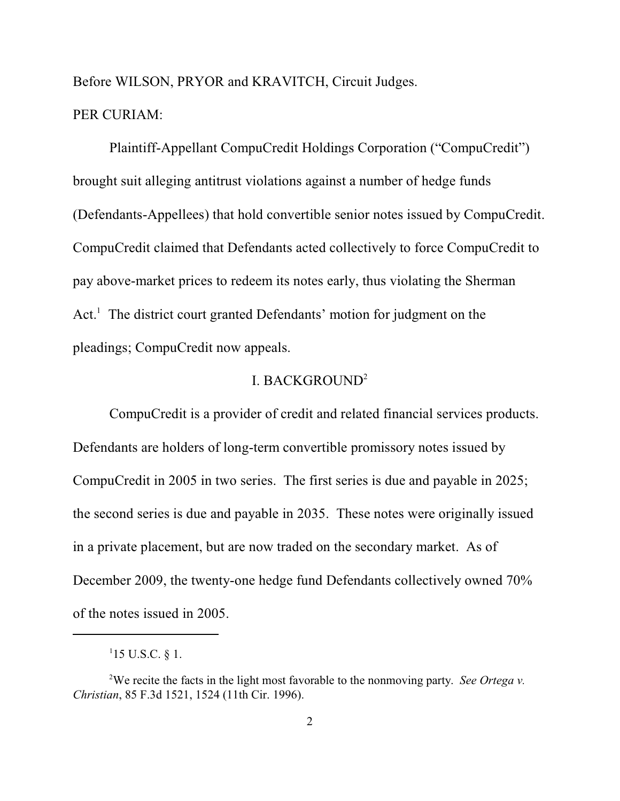Before WILSON, PRYOR and KRAVITCH, Circuit Judges.

## PER CURIAM:

Plaintiff-Appellant CompuCredit Holdings Corporation ("CompuCredit") brought suit alleging antitrust violations against a number of hedge funds (Defendants-Appellees) that hold convertible senior notes issued by CompuCredit. CompuCredit claimed that Defendants acted collectively to force CompuCredit to pay above-market prices to redeem its notes early, thus violating the Sherman  $Act<sup>1</sup>$ . The district court granted Defendants' motion for judgment on the pleadings; CompuCredit now appeals.

## I. BACKGROUND<sup>2</sup>

CompuCredit is a provider of credit and related financial services products. Defendants are holders of long-term convertible promissory notes issued by CompuCredit in 2005 in two series. The first series is due and payable in 2025; the second series is due and payable in 2035. These notes were originally issued in a private placement, but are now traded on the secondary market. As of December 2009, the twenty-one hedge fund Defendants collectively owned 70% of the notes issued in 2005.

 $115$  U.S.C. § 1.

We recite the facts in the light most favorable to the nonmoving party. *See Ortega v.* <sup>2</sup> *Christian*, 85 F.3d 1521, 1524 (11th Cir. 1996).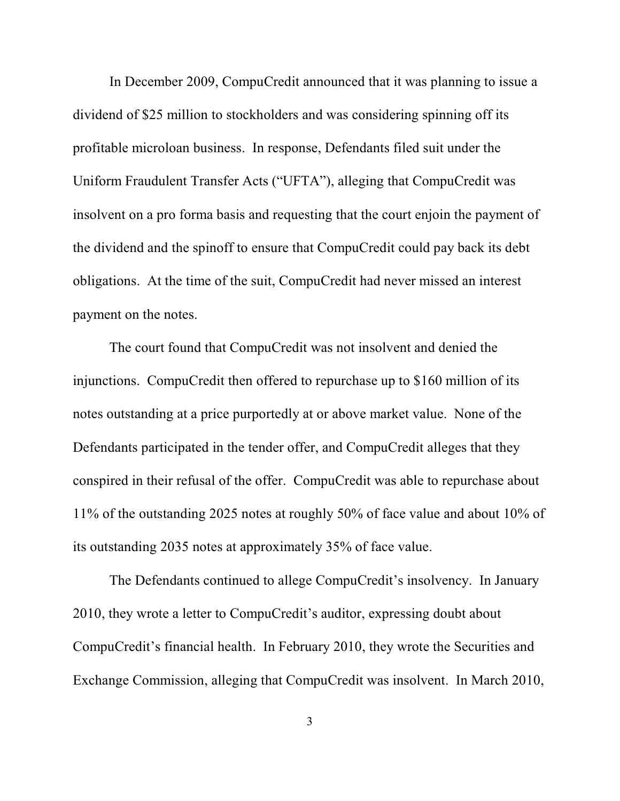In December 2009, CompuCredit announced that it was planning to issue a dividend of \$25 million to stockholders and was considering spinning off its profitable microloan business. In response, Defendants filed suit under the Uniform Fraudulent Transfer Acts ("UFTA"), alleging that CompuCredit was insolvent on a pro forma basis and requesting that the court enjoin the payment of the dividend and the spinoff to ensure that CompuCredit could pay back its debt obligations. At the time of the suit, CompuCredit had never missed an interest payment on the notes.

The court found that CompuCredit was not insolvent and denied the injunctions. CompuCredit then offered to repurchase up to \$160 million of its notes outstanding at a price purportedly at or above market value. None of the Defendants participated in the tender offer, and CompuCredit alleges that they conspired in their refusal of the offer. CompuCredit was able to repurchase about 11% of the outstanding 2025 notes at roughly 50% of face value and about 10% of its outstanding 2035 notes at approximately 35% of face value.

The Defendants continued to allege CompuCredit's insolvency. In January 2010, they wrote a letter to CompuCredit's auditor, expressing doubt about CompuCredit's financial health. In February 2010, they wrote the Securities and Exchange Commission, alleging that CompuCredit was insolvent. In March 2010,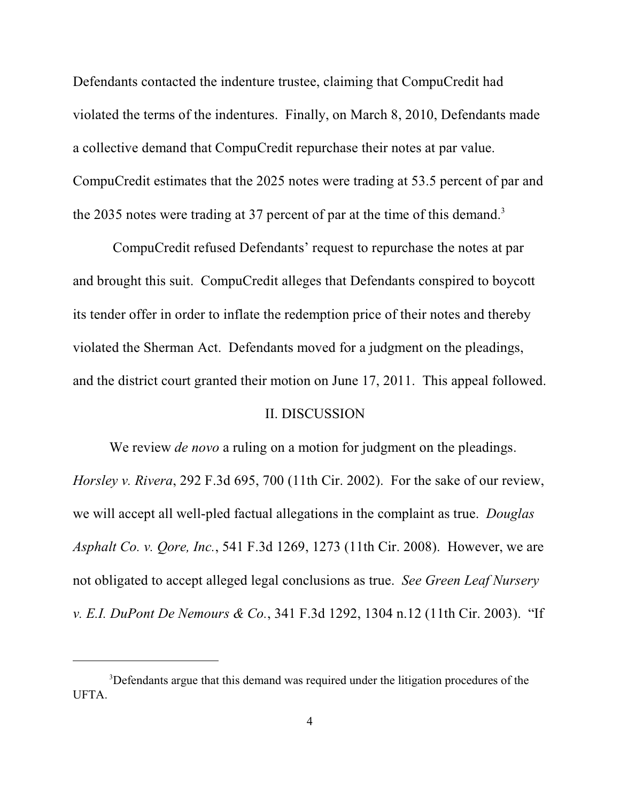Defendants contacted the indenture trustee, claiming that CompuCredit had violated the terms of the indentures. Finally, on March 8, 2010, Defendants made a collective demand that CompuCredit repurchase their notes at par value. CompuCredit estimates that the 2025 notes were trading at 53.5 percent of par and the 2035 notes were trading at 37 percent of par at the time of this demand.<sup>3</sup>

 CompuCredit refused Defendants' request to repurchase the notes at par and brought this suit. CompuCredit alleges that Defendants conspired to boycott its tender offer in order to inflate the redemption price of their notes and thereby violated the Sherman Act. Defendants moved for a judgment on the pleadings, and the district court granted their motion on June 17, 2011. This appeal followed.

#### II. DISCUSSION

We review *de novo* a ruling on a motion for judgment on the pleadings. *Horsley v. Rivera*, 292 F.3d 695, 700 (11th Cir. 2002). For the sake of our review, we will accept all well-pled factual allegations in the complaint as true. *Douglas Asphalt Co. v. Qore, Inc.*, 541 F.3d 1269, 1273 (11th Cir. 2008). However, we are not obligated to accept alleged legal conclusions as true. *See Green Leaf Nursery v. E.I. DuPont De Nemours & Co.*, 341 F.3d 1292, 1304 n.12 (11th Cir. 2003). "If

<sup>&</sup>lt;sup>3</sup>Defendants argue that this demand was required under the litigation procedures of the UFTA.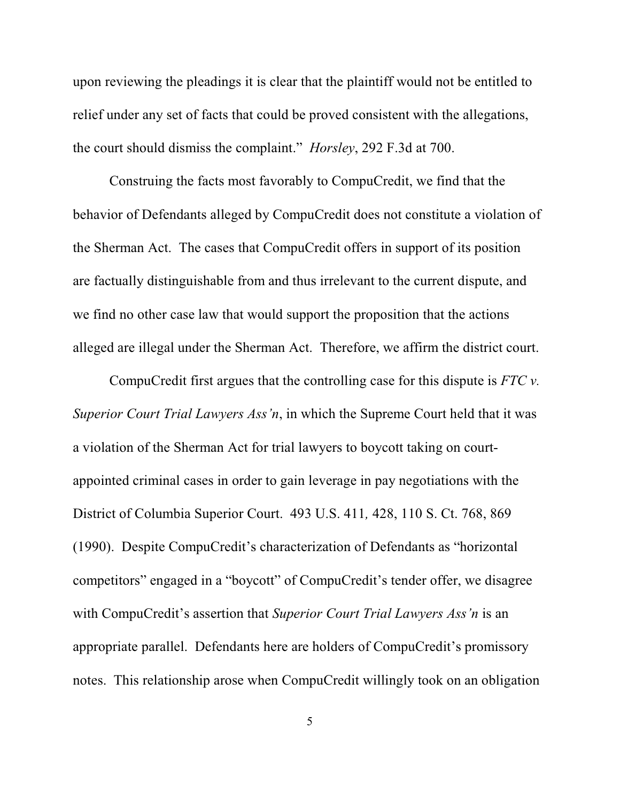upon reviewing the pleadings it is clear that the plaintiff would not be entitled to relief under any set of facts that could be proved consistent with the allegations, the court should dismiss the complaint." *Horsley*, 292 F.3d at 700.

Construing the facts most favorably to CompuCredit, we find that the behavior of Defendants alleged by CompuCredit does not constitute a violation of the Sherman Act. The cases that CompuCredit offers in support of its position are factually distinguishable from and thus irrelevant to the current dispute, and we find no other case law that would support the proposition that the actions alleged are illegal under the Sherman Act. Therefore, we affirm the district court.

CompuCredit first argues that the controlling case for this dispute is *FTC v. Superior Court Trial Lawyers Ass'n*, in which the Supreme Court held that it was a violation of the Sherman Act for trial lawyers to boycott taking on courtappointed criminal cases in order to gain leverage in pay negotiations with the District of Columbia Superior Court. 493 U.S. 411*,* 428, 110 S. Ct. 768, 869 (1990). Despite CompuCredit's characterization of Defendants as "horizontal competitors" engaged in a "boycott" of CompuCredit's tender offer, we disagree with CompuCredit's assertion that *Superior Court Trial Lawyers Ass'n* is an appropriate parallel. Defendants here are holders of CompuCredit's promissory notes. This relationship arose when CompuCredit willingly took on an obligation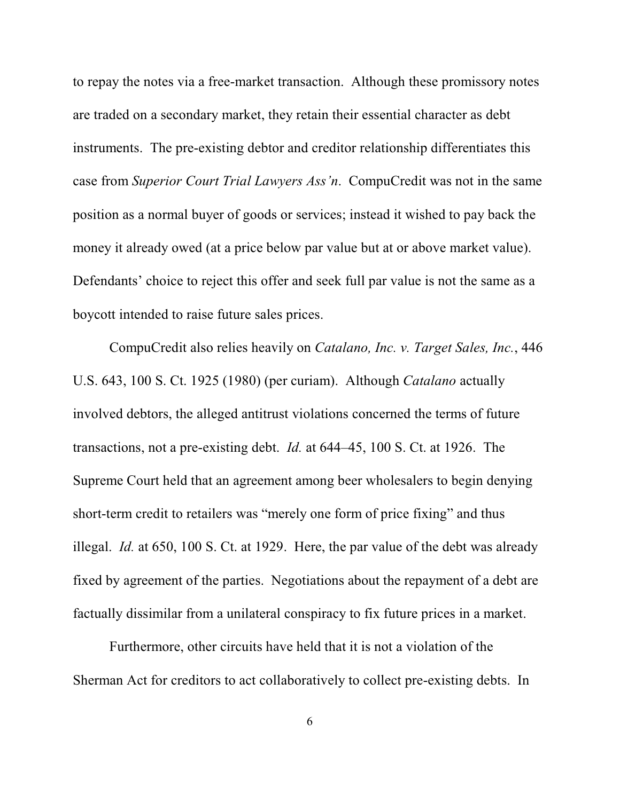to repay the notes via a free-market transaction. Although these promissory notes are traded on a secondary market, they retain their essential character as debt instruments. The pre-existing debtor and creditor relationship differentiates this case from *Superior Court Trial Lawyers Ass'n*. CompuCredit was not in the same position as a normal buyer of goods or services; instead it wished to pay back the money it already owed (at a price below par value but at or above market value). Defendants' choice to reject this offer and seek full par value is not the same as a boycott intended to raise future sales prices.

CompuCredit also relies heavily on *Catalano, Inc. v. Target Sales, Inc.*, 446 U.S. 643, 100 S. Ct. 1925 (1980) (per curiam). Although *Catalano* actually involved debtors, the alleged antitrust violations concerned the terms of future transactions, not a pre-existing debt. *Id.* at 644–45, 100 S. Ct. at 1926. The Supreme Court held that an agreement among beer wholesalers to begin denying short-term credit to retailers was "merely one form of price fixing" and thus illegal. *Id.* at 650, 100 S. Ct. at 1929. Here, the par value of the debt was already fixed by agreement of the parties. Negotiations about the repayment of a debt are factually dissimilar from a unilateral conspiracy to fix future prices in a market.

Furthermore, other circuits have held that it is not a violation of the Sherman Act for creditors to act collaboratively to collect pre-existing debts. In